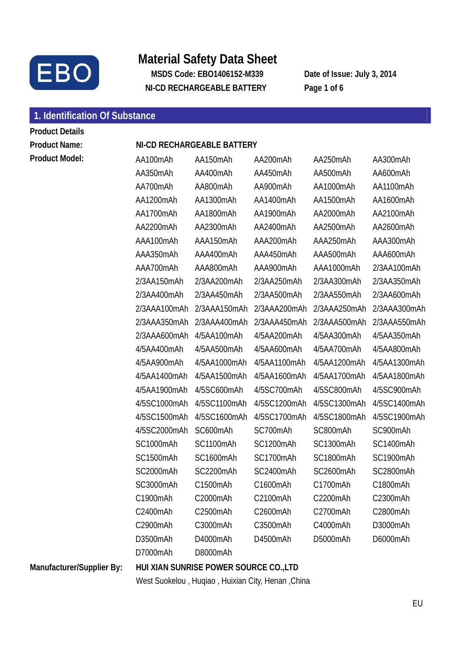

# **Material Safety Data Sheet**

**MSDS Code: EBO1406152-M339 Date of Issue: July 3, 2014 NI-CD RECHARGEABLE BATTERY Page 1 of 6** 

# **1. Identification Of Substance**

**Product Details Product Name: NI-CD RECHARGEABLE BATTERY** 

| <b>Product Model:</b>     | AA100mAh     | AA150mAh                               | AA200mAh     | AA250mAh     | AA300mAh     |
|---------------------------|--------------|----------------------------------------|--------------|--------------|--------------|
|                           | AA350mAh     | AA400mAh                               | AA450mAh     | AA500mAh     | AA600mAh     |
|                           | AA700mAh     | AA800mAh                               | AA900mAh     | AA1000mAh    | AA1100mAh    |
|                           | AA1200mAh    | AA1300mAh                              | AA1400mAh    | AA1500mAh    | AA1600mAh    |
|                           | AA1700mAh    | AA1800mAh                              | AA1900mAh    | AA2000mAh    | AA2100mAh    |
|                           | AA2200mAh    | AA2300mAh                              | AA2400mAh    | AA2500mAh    | AA2600mAh    |
|                           | AAA100mAh    | AAA150mAh                              | AAA200mAh    | AAA250mAh    | AAA300mAh    |
|                           | AAA350mAh    | AAA400mAh                              | AAA450mAh    | AAA500mAh    | AAA600mAh    |
|                           | AAA700mAh    | AAA800mAh                              | AAA900mAh    | AAA1000mAh   | 2/3AA100mAh  |
|                           | 2/3AA150mAh  | 2/3AA200mAh                            | 2/3AA250mAh  | 2/3AA300mAh  | 2/3AA350mAh  |
|                           | 2/3AA400mAh  | 2/3AA450mAh                            | 2/3AA500mAh  | 2/3AA550mAh  | 2/3AA600mAh  |
|                           | 2/3AAA100mAh | 2/3AAA150mAh                           | 2/3AAA200mAh | 2/3AAA250mAh | 2/3AAA300mAh |
|                           | 2/3AAA350mAh | 2/3AAA400mAh                           | 2/3AAA450mAh | 2/3AAA500mAh | 2/3AAA550mAh |
|                           | 2/3AAA600mAh | 4/5AA100mAh                            | 4/5AA200mAh  | 4/5AA300mAh  | 4/5AA350mAh  |
|                           | 4/5AA400mAh  | 4/5AA500mAh                            | 4/5AA600mAh  | 4/5AA700mAh  | 4/5AA800mAh  |
|                           | 4/5AA900mAh  | 4/5AA1000mAh                           | 4/5AA1100mAh | 4/5AA1200mAh | 4/5AA1300mAh |
|                           | 4/5AA1400mAh | 4/5AA1500mAh                           | 4/5AA1600mAh | 4/5AA1700mAh | 4/5AA1800mAh |
|                           | 4/5AA1900mAh | 4/5SC600mAh                            | 4/5SC700mAh  | 4/5SC800mAh  | 4/5SC900mAh  |
|                           | 4/5SC1000mAh | 4/5SC1100mAh                           | 4/5SC1200mAh | 4/5SC1300mAh | 4/5SC1400mAh |
|                           | 4/5SC1500mAh | 4/5SC1600mAh                           | 4/5SC1700mAh | 4/5SC1800mAh | 4/5SC1900mAh |
|                           | 4/5SC2000mAh | SC600mAh                               | SC700mAh     | SC800mAh     | SC900mAh     |
|                           | SC1000mAh    | SC1100mAh                              | SC1200mAh    | SC1300mAh    | SC1400mAh    |
|                           | SC1500mAh    | SC1600mAh                              | SC1700mAh    | SC1800mAh    | SC1900mAh    |
|                           | SC2000mAh    | SC2200mAh                              | SC2400mAh    | SC2600mAh    | SC2800mAh    |
|                           | SC3000mAh    | C1500mAh                               | C1600mAh     | C1700mAh     | C1800mAh     |
|                           | C1900mAh     | C2000mAh                               | C2100mAh     | C2200mAh     | C2300mAh     |
|                           | C2400mAh     | C2500mAh                               | C2600mAh     | C2700mAh     | C2800mAh     |
|                           | C2900mAh     | C3000mAh                               | C3500mAh     | C4000mAh     | D3000mAh     |
|                           | D3500mAh     | D4000mAh                               | D4500mAh     | D5000mAh     | D6000mAh     |
|                           | D7000mAh     | D8000mAh                               |              |              |              |
| Manufacturer/Supplier By: |              | HUI XIAN SUNRISE POWER SOURCE CO., LTD |              |              |              |

West Suokelou , Huqiao , Huixian City, Henan ,China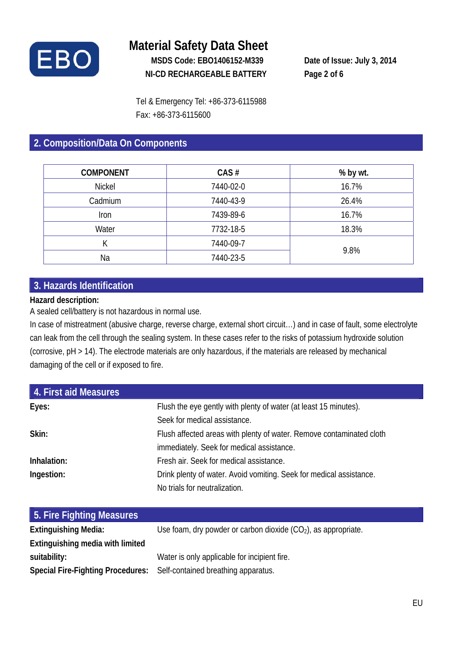

## **Material Safety Data Sheet MSDS Code: EBO1406152-M339 Date of Issue: July 3, 2014 NI-CD RECHARGEABLE BATTERY Page 2 of 6**

Tel & Emergency Tel: +86-373-6115988 Fax: +86-373-6115600

## **2. Composition/Data On Components**

| <b>COMPONENT</b> | CAS#      | % by wt. |
|------------------|-----------|----------|
| <b>Nickel</b>    | 7440-02-0 | 16.7%    |
| Cadmium          | 7440-43-9 | 26.4%    |
| Iron             | 7439-89-6 | 16.7%    |
| Water            | 7732-18-5 | 18.3%    |
| К                | 7440-09-7 |          |
| Na               | 7440-23-5 | 9.8%     |

### **3. Hazards Identification**

#### **Hazard description:**

A sealed cell/battery is not hazardous in normal use.

In case of mistreatment (abusive charge, reverse charge, external short circuit…) and in case of fault, some electrolyte can leak from the cell through the sealing system. In these cases refer to the risks of potassium hydroxide solution (corrosive, pH > 14). The electrode materials are only hazardous, if the materials are released by mechanical damaging of the cell or if exposed to fire.

| 4. First aid Measures |                                                                      |
|-----------------------|----------------------------------------------------------------------|
| Eyes:                 | Flush the eye gently with plenty of water (at least 15 minutes).     |
|                       | Seek for medical assistance.                                         |
| Skin:                 | Flush affected areas with plenty of water. Remove contaminated cloth |
|                       | immediately. Seek for medical assistance.                            |
| Inhalation:           | Fresh air. Seek for medical assistance.                              |
| Ingestion:            | Drink plenty of water. Avoid vomiting. Seek for medical assistance.  |
|                       | No trials for neutralization.                                        |

| 5. Fire Fighting Measures                                             |                                                                  |
|-----------------------------------------------------------------------|------------------------------------------------------------------|
| <b>Extinguishing Media:</b>                                           | Use foam, dry powder or carbon dioxide $(CO2)$ , as appropriate. |
| Extinguishing media with limited                                      |                                                                  |
| suitability:                                                          | Water is only applicable for incipient fire.                     |
| Special Fire-Fighting Procedures: Self-contained breathing apparatus. |                                                                  |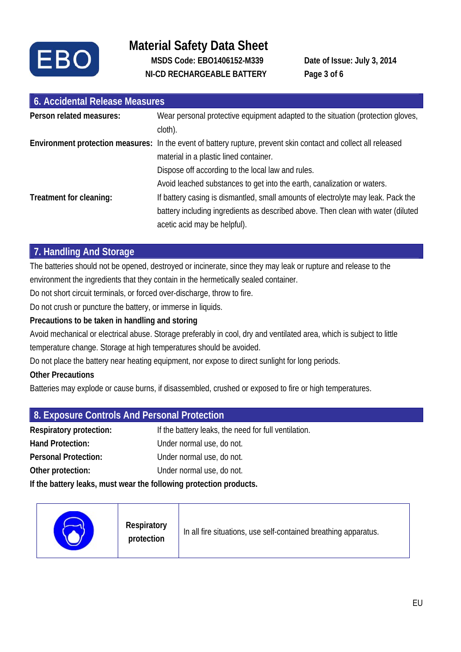

# **Material Safety Data Sheet MSDS Code: EBO1406152-M339 Date of Issue: July 3, 2014 NI-CD RECHARGEABLE BATTERY Page 3 of 6**

| 6. Accidental Release Measures |                                                                                                                                                                                                                  |  |
|--------------------------------|------------------------------------------------------------------------------------------------------------------------------------------------------------------------------------------------------------------|--|
| Person related measures:       | Wear personal protective equipment adapted to the situation (protection gloves,<br>cloth).                                                                                                                       |  |
|                                | Environment protection measures: In the event of battery rupture, prevent skin contact and collect all released<br>material in a plastic lined container.                                                        |  |
| Treatment for cleaning:        | Dispose off according to the local law and rules.<br>Avoid leached substances to get into the earth, canalization or waters.<br>If battery casing is dismantled, small amounts of electrolyte may leak. Pack the |  |
|                                | battery including ingredients as described above. Then clean with water (diluted<br>acetic acid may be helpful).                                                                                                 |  |

### **7. Handling And Storage**

The batteries should not be opened, destroyed or incinerate, since they may leak or rupture and release to the environment the ingredients that they contain in the hermetically sealed container.

Do not short circuit terminals, or forced over-discharge, throw to fire.

Do not crush or puncture the battery, or immerse in liquids.

#### **Precautions to be taken in handling and storing**

Avoid mechanical or electrical abuse. Storage preferably in cool, dry and ventilated area, which is subject to little temperature change. Storage at high temperatures should be avoided.

Do not place the battery near heating equipment, nor expose to direct sunlight for long periods.

#### **Other Precautions**

Batteries may explode or cause burns, if disassembled, crushed or exposed to fire or high temperatures.

| 8. Exposure Controls And Personal Protection                       |                                                      |  |
|--------------------------------------------------------------------|------------------------------------------------------|--|
| <b>Respiratory protection:</b>                                     | If the battery leaks, the need for full ventilation. |  |
| Hand Protection:                                                   | Under normal use, do not.                            |  |
| Personal Protection:                                               | Under normal use, do not.                            |  |
| Other protection:                                                  | Under normal use, do not.                            |  |
| If the battery leaks, must wear the following protection products. |                                                      |  |
|                                                                    |                                                      |  |

| Respiratory<br>protection | In all fire situations, use self-contained breathing apparatus. |
|---------------------------|-----------------------------------------------------------------|
|---------------------------|-----------------------------------------------------------------|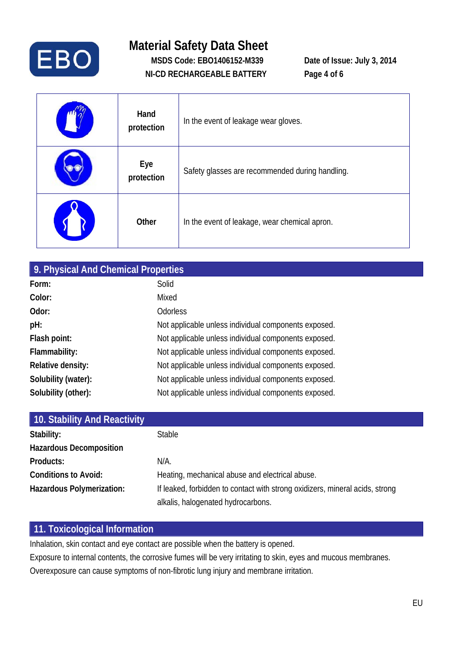

# **Material Safety Data Sheet MSDS Code: EBO1406152-M339 Date of Issue: July 3, 2014 NI-CD RECHARGEABLE BATTERY Page 4 of 6**

| Hand<br>protection | In the event of leakage wear gloves.            |
|--------------------|-------------------------------------------------|
| Eye<br>protection  | Safety glasses are recommended during handling. |
| Other              | In the event of leakage, wear chemical apron.   |

| 9. Physical And Chemical Properties |                                                      |  |
|-------------------------------------|------------------------------------------------------|--|
| Form:                               | Solid                                                |  |
| Color:                              | Mixed                                                |  |
| Odor:                               | <b>Odorless</b>                                      |  |
| pH:                                 | Not applicable unless individual components exposed. |  |
| Flash point:                        | Not applicable unless individual components exposed. |  |
| Flammability:                       | Not applicable unless individual components exposed. |  |
| Relative density:                   | Not applicable unless individual components exposed. |  |
| Solubility (water):                 | Not applicable unless individual components exposed. |  |
| Solubility (other):                 | Not applicable unless individual components exposed. |  |

| 10. Stability And Reactivity   |                                                                              |
|--------------------------------|------------------------------------------------------------------------------|
| Stability:                     | <b>Stable</b>                                                                |
| <b>Hazardous Decomposition</b> |                                                                              |
| Products:                      | N/A.                                                                         |
| <b>Conditions to Avoid:</b>    | Heating, mechanical abuse and electrical abuse.                              |
| Hazardous Polymerization:      | If leaked, forbidden to contact with strong oxidizers, mineral acids, strong |
|                                | alkalis, halogenated hydrocarbons.                                           |

#### **11. Toxicological Information**

Inhalation, skin contact and eye contact are possible when the battery is opened.

Exposure to internal contents, the corrosive fumes will be very irritating to skin, eyes and mucous membranes. Overexposure can cause symptoms of non-fibrotic lung injury and membrane irritation.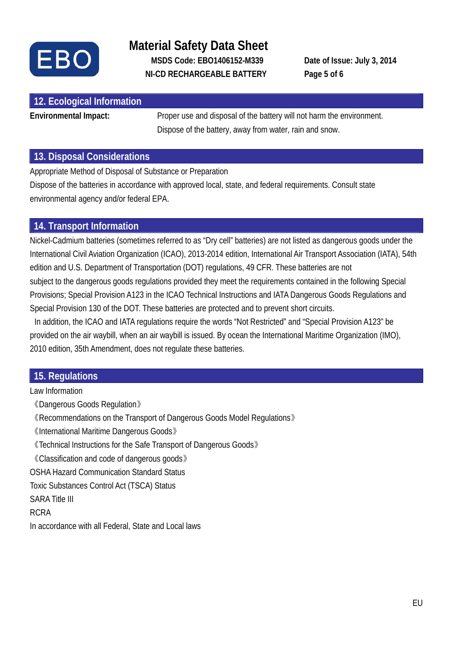

## **Material Safety Data Sheet MSDS Code: EBO1406152-M339 Date of Issue: July 3, 2014 NI-CD RECHARGEABLE BATTERY Page 5 of 6**

| 12. Ecological Information |                                                                       |
|----------------------------|-----------------------------------------------------------------------|
| Environmental Impact:      | Proper use and disposal of the battery will not harm the environment. |
|                            | Dispose of the battery, away from water, rain and snow.               |

#### **13. Disposal Considerations**

Appropriate Method of Disposal of Substance or Preparation

Dispose of the batteries in accordance with approved local, state, and federal requirements. Consult state environmental agency and/or federal EPA.

#### **14. Transport Information**

Nickel-Cadmium batteries (sometimes referred to as "Dry cell" batteries) are not listed as dangerous goods under the International Civil Aviation Organization (ICAO), 2013-2014 edition, International Air Transport Association (IATA), 54th edition and U.S. Department of Transportation (DOT) regulations, 49 CFR. These batteries are not subject to the dangerous goods regulations provided they meet the requirements contained in the following Special Provisions; Special Provision A123 in the ICAO Technical Instructions and IATA Dangerous Goods Regulations and Special Provision 130 of the DOT. These batteries are protected and to prevent short circuits.

 In addition, the ICAO and IATA regulations require the words "Not Restricted" and "Special Provision A123" be provided on the air waybill, when an air waybill is issued. By ocean the International Maritime Organization (IMO), 2010 edition, 35th Amendment, does not regulate these batteries.

### **15. Regulations**

Law Information 《Dangerous Goods Regulation》 《Recommendations on the Transport of Dangerous Goods Model Regulations》 《International Maritime Dangerous Goods》 《Technical Instructions for the Safe Transport of Dangerous Goods》 《Classification and code of dangerous goods》 OSHA Hazard Communication Standard Status Toxic Substances Control Act (TSCA) Status SARA Title III RCRA In accordance with all Federal, State and Local laws